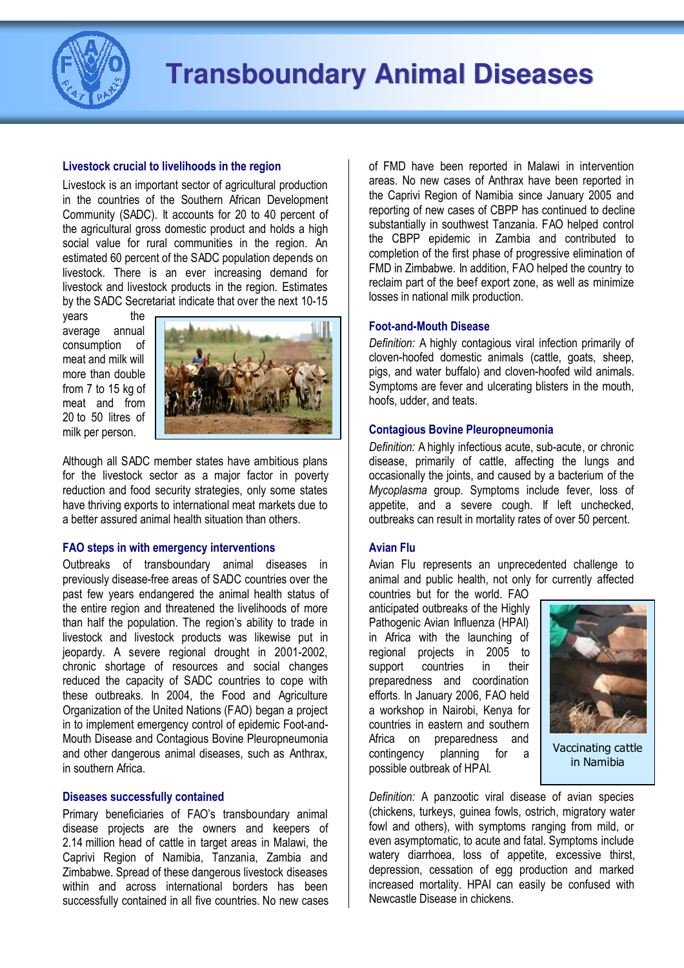

## Livestock crucial to livelihoods in the region

Livestock is an important sector of agricultural production in the countries of the Southern African Development Community (SADC). It accounts for 20 to 40 percent of the agricultural gross domestic product and holds a high social value for rural communities in the region. An estimated 60 percent of the SADC population depends on livestock. There is an ever increasing demand for livestock and livestock products in the region. Estimates by the SADC Secretariat indicate that over the next 10-15

years the average annual consumption of meat and milk will more than double from 7 to 15 kg of meat and from 20 to 50 litres of milk per person.



Although all SADC member states have ambitious plans for the livestock sector as a major factor in poverty reduction and food security strategies, only some states have thriving exports to international meat markets due to a better assured animal health situation than others.

#### FAO steps in with emergency interventions

Outbreaks of transboundary animal diseases in previously disease-free areas of SADC countries over the past few years endangered the animal health status of the entire region and threatened the livelihoods of more than half the population. The region's ability to trade in livestock and livestock products was likewise put in jeopardy. A severe regional drought in 2001-2002, chronic shortage of resources and social changes reduced the capacity of SADC countries to cope with these outbreaks. In 2004, the Food and Agriculture Organization of the United Nations (FAO) began a project in to implement emergency control of epidemic Foot-and-Mouth Disease and Contagious Bovine Pleuropneumonia and other dangerous animal diseases, such as Anthrax, in southern Africa.

#### Diseases successfully contained

Primary beneficiaries of FAO's transboundary animal disease projects are the owners and keepers of 2.14 million head of cattle in target areas in Malawi, the Caprivi Region of Namibia, Tanzania, Zambia and Zimbabwe. Spread of these dangerous livestock diseases within and across international borders has been successfully contained in all five countries. No new cases of FMD have been reported in Malawi in intervention areas. No new cases of Anthrax have been reported in the Caprivi Region of Namibia since January 2005 and reporting of new cases of CBPP has continued to decline substantially in southwest Tanzania. FAO helped control the CBPP epidemic in Zambia and contributed to completion of the first phase of progressive elimination of FMD in Zimbabwe. In addition, FAO helped the country to reclaim part of the beef export zone, as well as minimize losses in national milk production.

### Foot-and-Mouth Disease

Definition: A highly contagious viral infection primarily of cloven-hoofed domestic animals (cattle, goats, sheep, pigs, and water buffalo) and cloven-hoofed wild animals. Symptoms are fever and ulcerating blisters in the mouth, hoofs, udder, and teats.

#### Contagious Bovine Pleuropneumonia

Definition: A highly infectious acute, sub-acute, or chronic disease, primarily of cattle, affecting the lungs and occasionally the joints, and caused by a bacterium of the Mycoplasma group. Symptoms include fever, loss of appetite, and a severe cough. If left unchecked, outbreaks can result in mortality rates of over 50 percent.

#### Avian Flu

Avian Flu represents an unprecedented challenge to animal and public health, not only for currently affected

countries but for the world. FAO anticipated outbreaks of the Highly Pathogenic Avian Influenza (HPAI) in Africa with the launching of regional projects in 2005 to support countries in their preparedness and coordination efforts. In January 2006, FAO held a workshop in Nairobi, Kenya for countries in eastern and southern Africa on preparedness and contingency planning for a possible outbreak of HPAI.



in Namibia

Definition: A panzootic viral disease of avian species (chickens, turkeys, guinea fowls, ostrich, migratory water fowl and others), with symptoms ranging from mild, or even asymptomatic, to acute and fatal. Symptoms include watery diarrhoea, loss of appetite, excessive thirst, depression, cessation of egg production and marked increased mortality. HPAI can easily be confused with Newcastle Disease in chickens.